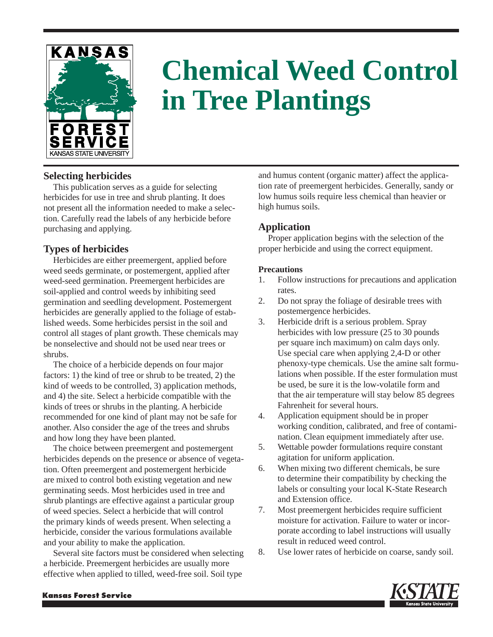

# **Chemical Weed Control in Tree Plantings**

## **Selecting herbicides**

This publication serves as a guide for selecting herbicides for use in tree and shrub planting. It does not present all the information needed to make a selection. Carefully read the labels of any herbicide before purchasing and applying.

## **Types of herbicides**

Herbicides are either preemergent, applied before weed seeds germinate, or postemergent, applied after weed-seed germination. Preemergent herbicides are soil-applied and control weeds by inhibiting seed germination and seedling development. Postemergent herbicides are generally applied to the foliage of established weeds. Some herbicides persist in the soil and control all stages of plant growth. These chemicals may be nonselective and should not be used near trees or shrubs.

The choice of a herbicide depends on four major factors: 1) the kind of tree or shrub to be treated, 2) the kind of weeds to be controlled, 3) application methods, and 4) the site. Select a herbicide compatible with the kinds of trees or shrubs in the planting. A herbicide recommended for one kind of plant may not be safe for another. Also consider the age of the trees and shrubs and how long they have been planted.

The choice between preemergent and postemergent herbicides depends on the presence or absence of vegetation. Often preemergent and postemergent herbicide are mixed to control both existing vegetation and new germinating seeds. Most herbicides used in tree and shrub plantings are effective against a particular group of weed species. Select a herbicide that will control the primary kinds of weeds present. When selecting a herbicide, consider the various formulations available and your ability to make the application.

Several site factors must be considered when selecting a herbicide. Preemergent herbicides are usually more effective when applied to tilled, weed-free soil. Soil type

and humus content (organic matter) affect the application rate of preemergent herbicides. Generally, sandy or low humus soils require less chemical than heavier or high humus soils.

## **Application**

Proper application begins with the selection of the proper herbicide and using the correct equipment.

### **Precautions**

- 1. Follow instructions for precautions and application rates.
- 2. Do not spray the foliage of desirable trees with postemergence herbicides.
- 3. Herbicide drift is a serious problem. Spray herbicides with low pressure (25 to 30 pounds per square inch maximum) on calm days only. Use special care when applying 2,4-D or other phenoxy-type chemicals. Use the amine salt formulations when possible. If the ester formulation must be used, be sure it is the low-volatile form and that the air temperature will stay below 85 degrees Fahrenheit for several hours.
- 4. Application equipment should be in proper working condition, calibrated, and free of contamination. Clean equipment immediately after use.
- 5. Wettable powder formulations require constant agitation for uniform application.
- 6. When mixing two different chemicals, be sure to determine their compatibility by checking the labels or consulting your local K-State Research and Extension office.
- 7. Most preemergent herbicides require sufficient moisture for activation. Failure to water or incorporate according to label instructions will usually result in reduced weed control.
- 8. Use lower rates of herbicide on coarse, sandy soil.

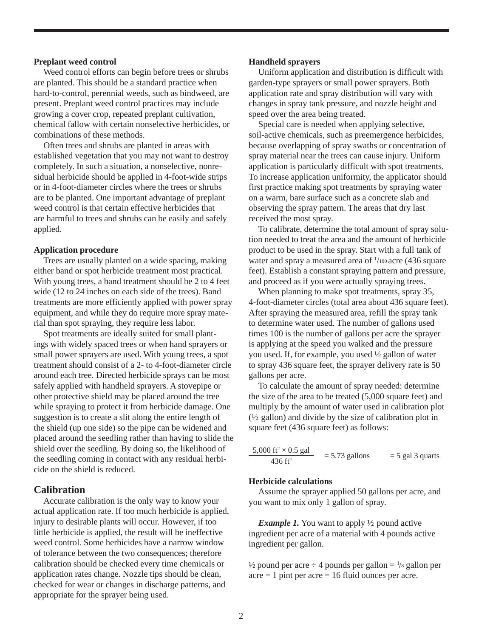#### **Preplant weed control**

Weed control efforts can begin before trees or shrubs are planted. This should be a standard practice when hard-to-control, perennial weeds, such as bindweed, are present. Preplant weed control practices may include growing a cover crop, repeated preplant cultivation, chemical fallow with certain nonselective herbicides, or combinations of these methods.

Often trees and shrubs are planted in areas with established vegetation that you may not want to destroy completely. In such a situation, a nonselective, nonresidual herbicide should be applied in 4-foot-wide strips or in 4-foot-diameter circles where the trees or shrubs are to be planted. One important advantage of preplant weed control is that certain effective herbicides that are harmful to trees and shrubs can be easily and safely applied.

#### **Application procedure**

Trees are usually planted on a wide spacing, making either band or spot herbicide treatment most practical. With young trees, a band treatment should be 2 to 4 feet wide (12 to 24 inches on each side of the trees). Band treatments are more efficiently applied with power spray equipment, and while they do require more spray material than spot spraying, they require less labor.

Spot treatments are ideally suited for small plantings with widely spaced trees or when hand sprayers or small power sprayers are used. With young trees, a spot treatment should consist of a 2- to 4-foot-diameter circle around each tree. Directed herbicide sprays can be most safely applied with handheld sprayers. A stovepipe or other protective shield may be placed around the tree while spraying to protect it from herbicide damage. One suggestion is to create a slit along the entire length of the shield (up one side) so the pipe can be widened and placed around the seedling rather than having to slide the shield over the seedling. By doing so, the likelihood of the seedling coming in contact with any residual herbicide on the shield is reduced.

#### **Calibration**

Accurate calibration is the only way to know your actual application rate. If too much herbicide is applied, injury to desirable plants will occur. However, if too little herbicide is applied, the result will be ineffective weed control. Some herbicides have a narrow window of tolerance between the two consequences; therefore calibration should be checked every time chemicals or application rates change. Nozzle tips should be clean, checked for wear or changes in discharge patterns, and appropriate for the sprayer being used.

#### **Handheld sprayers**

Uniform application and distribution is difficult with garden-type sprayers or small power sprayers. Both application rate and spray distribution will vary with changes in spray tank pressure, and nozzle height and speed over the area being treated.

Special care is needed when applying selective, soil-active chemicals, such as preemergence herbicides, because overlapping of spray swaths or concentration of spray material near the trees can cause injury. Uniform application is particularly difficult with spot treatments. To increase application uniformity, the applicator should first practice making spot treatments by spraying water on a warm, bare surface such as a concrete slab and observing the spray pattern. The areas that dry last received the most spray.

To calibrate, determine the total amount of spray solution needed to treat the area and the amount of herbicide product to be used in the spray. Start with a full tank of water and spray a measured area of  $\frac{1}{100}$  acre (436 square feet). Establish a constant spraying pattern and pressure, and proceed as if you were actually spraying trees.

When planning to make spot treatments, spray 35, 4-foot-diameter circles (total area about 436 square feet). After spraying the measured area, refill the spray tank to determine water used. The number of gallons used times 100 is the number of gallons per acre the sprayer is applying at the speed you walked and the pressure you used. If, for example, you used ½ gallon of water to spray 436 square feet, the sprayer delivery rate is 50 gallons per acre.

To calculate the amount of spray needed: determine the size of the area to be treated (5,000 square feet) and multiply by the amount of water used in calibration plot (½ gallon) and divide by the size of calibration plot in square feet (436 square feet) as follows:

5,000 ft<sup>2</sup>  $\times$  0.5 gal  $\frac{11 \times 0.5 \text{ g}}{436 \text{ ft}^2}$  = 5.73 gallons = 5 gal 3 quarts

#### **Herbicide calculations**

Assume the sprayer applied 50 gallons per acre, and you want to mix only 1 gallon of spray.

*Example 1.* You want to apply  $\frac{1}{2}$  pound active ingredient per acre of a material with 4 pounds active ingredient per gallon.

<sup>1</sup>/2 pound per acre  $\div$  4 pounds per gallon = <sup>1</sup>/8 gallon per  $\text{acre} = 1$  pint per acre = 16 fluid ounces per acre.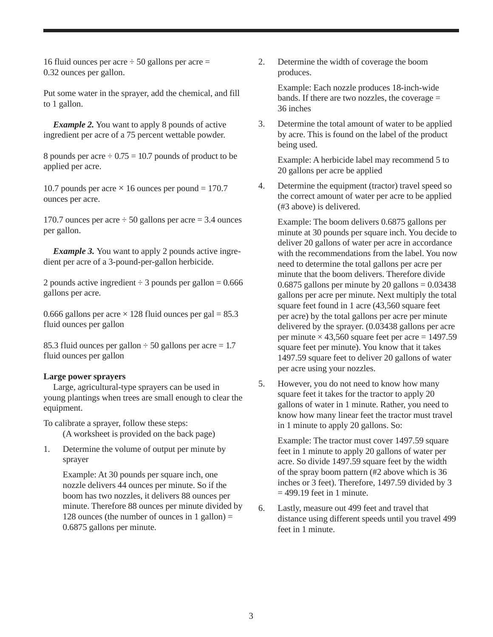16 fluid ounces per acre  $\div$  50 gallons per acre = 0.32 ounces per gallon.

Put some water in the sprayer, add the chemical, and fill to 1 gallon.

*Example 2.* You want to apply 8 pounds of active ingredient per acre of a 75 percent wettable powder.

8 pounds per acre  $\div$  0.75 = 10.7 pounds of product to be applied per acre.

10.7 pounds per acre  $\times$  16 ounces per pound = 170.7 ounces per acre.

170.7 ounces per acre  $\div$  50 gallons per acre = 3.4 ounces per gallon.

*Example 3.* You want to apply 2 pounds active ingredient per acre of a 3-pound-per-gallon herbicide.

2 pounds active ingredient  $\div$  3 pounds per gallon = 0.666 gallons per acre.

0.666 gallons per acre  $\times$  128 fluid ounces per gal = 85.3 fluid ounces per gallon

85.3 fluid ounces per gallon  $\div$  50 gallons per acre = 1.7 fluid ounces per gallon

#### **Large power sprayers**

Large, agricultural-type sprayers can be used in young plantings when trees are small enough to clear the equipment.

To calibrate a sprayer, follow these steps: (A worksheet is provided on the back page)

1. Determine the volume of output per minute by sprayer

> Example: At 30 pounds per square inch, one nozzle delivers 44 ounces per minute. So if the boom has two nozzles, it delivers 88 ounces per minute. Therefore 88 ounces per minute divided by 128 ounces (the number of ounces in 1 gallon)  $=$ 0.6875 gallons per minute.

2. Determine the width of coverage the boom produces.

> Example: Each nozzle produces 18-inch-wide bands. If there are two nozzles, the coverage  $=$ 36 inches

3. Determine the total amount of water to be applied by acre. This is found on the label of the product being used.

Example: A herbicide label may recommend 5 to 20 gallons per acre be applied

4. Determine the equipment (tractor) travel speed so the correct amount of water per acre to be applied (#3 above) is delivered.

Example: The boom delivers 0.6875 gallons per minute at 30 pounds per square inch. You decide to deliver 20 gallons of water per acre in accordance with the recommendations from the label. You now need to determine the total gallons per acre per minute that the boom delivers. Therefore divide  $0.6875$  gallons per minute by 20 gallons =  $0.03438$ gallons per acre per minute. Next multiply the total square feet found in 1 acre (43,560 square feet per acre) by the total gallons per acre per minute delivered by the sprayer. (0.03438 gallons per acre per minute  $\times$  43,560 square feet per acre = 1497.59 square feet per minute). You know that it takes 1497.59 square feet to deliver 20 gallons of water per acre using your nozzles.

5. However, you do not need to know how many square feet it takes for the tractor to apply 20 gallons of water in 1 minute. Rather, you need to know how many linear feet the tractor must travel in 1 minute to apply 20 gallons. So:

Example: The tractor must cover 1497.59 square feet in 1 minute to apply 20 gallons of water per acre. So divide 1497.59 square feet by the width of the spray boom pattern (#2 above which is 36 inches or 3 feet). Therefore, 1497.59 divided by 3  $= 499.19$  feet in 1 minute.

6. Lastly, measure out 499 feet and travel that distance using different speeds until you travel 499 feet in 1 minute.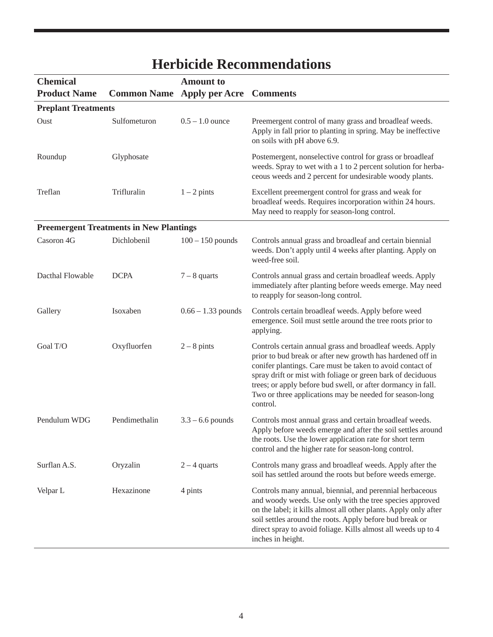| <b>Chemical</b>                                |                    | <b>Amount</b> to               |                                                                                                                                                                                                                                                                                                                                                                                           |  |  |  |  |  |  |
|------------------------------------------------|--------------------|--------------------------------|-------------------------------------------------------------------------------------------------------------------------------------------------------------------------------------------------------------------------------------------------------------------------------------------------------------------------------------------------------------------------------------------|--|--|--|--|--|--|
| <b>Product Name</b>                            | <b>Common Name</b> | <b>Apply per Acre</b> Comments |                                                                                                                                                                                                                                                                                                                                                                                           |  |  |  |  |  |  |
| <b>Preplant Treatments</b>                     |                    |                                |                                                                                                                                                                                                                                                                                                                                                                                           |  |  |  |  |  |  |
| Oust                                           | Sulfometuron       | $0.5 - 1.0$ ounce              | Preemergent control of many grass and broadleaf weeds.<br>Apply in fall prior to planting in spring. May be ineffective<br>on soils with pH above 6.9.                                                                                                                                                                                                                                    |  |  |  |  |  |  |
| Roundup                                        | Glyphosate         |                                | Postemergent, nonselective control for grass or broadleaf<br>weeds. Spray to wet with a 1 to 2 percent solution for herba-<br>ceous weeds and 2 percent for undesirable woody plants.                                                                                                                                                                                                     |  |  |  |  |  |  |
| Treflan                                        | Trifluralin        | $1 - 2$ pints                  | Excellent preemergent control for grass and weak for<br>broadleaf weeds. Requires incorporation within 24 hours.<br>May need to reapply for season-long control.                                                                                                                                                                                                                          |  |  |  |  |  |  |
| <b>Preemergent Treatments in New Plantings</b> |                    |                                |                                                                                                                                                                                                                                                                                                                                                                                           |  |  |  |  |  |  |
| Casoron 4G                                     | Dichlobenil        | $100 - 150$ pounds             | Controls annual grass and broadleaf and certain biennial<br>weeds. Don't apply until 4 weeks after planting. Apply on<br>weed-free soil.                                                                                                                                                                                                                                                  |  |  |  |  |  |  |
| Dacthal Flowable                               | <b>DCPA</b>        | $7 - 8$ quarts                 | Controls annual grass and certain broadleaf weeds. Apply<br>immediately after planting before weeds emerge. May need<br>to reapply for season-long control.                                                                                                                                                                                                                               |  |  |  |  |  |  |
| Gallery                                        | Isoxaben           | $0.66 - 1.33$ pounds           | Controls certain broadleaf weeds. Apply before weed<br>emergence. Soil must settle around the tree roots prior to<br>applying.                                                                                                                                                                                                                                                            |  |  |  |  |  |  |
| Goal T/O                                       | Oxyfluorfen        | $2 - 8$ pints                  | Controls certain annual grass and broadleaf weeds. Apply<br>prior to bud break or after new growth has hardened off in<br>conifer plantings. Care must be taken to avoid contact of<br>spray drift or mist with foliage or green bark of deciduous<br>trees; or apply before bud swell, or after dormancy in fall.<br>Two or three applications may be needed for season-long<br>control. |  |  |  |  |  |  |
| Pendulum WDG                                   | Pendimethalin      | $3.3 - 6.6$ pounds             | Controls most annual grass and certain broadleaf weeds.<br>Apply before weeds emerge and after the soil settles around<br>the roots. Use the lower application rate for short term<br>control and the higher rate for season-long control.                                                                                                                                                |  |  |  |  |  |  |
| Surflan A.S.                                   | Oryzalin           | $2 - 4$ quarts                 | Controls many grass and broadleaf weeds. Apply after the<br>soil has settled around the roots but before weeds emerge.                                                                                                                                                                                                                                                                    |  |  |  |  |  |  |
| Velpar L                                       | Hexazinone         | 4 pints                        | Controls many annual, biennial, and perennial herbaceous<br>and woody weeds. Use only with the tree species approved<br>on the label; it kills almost all other plants. Apply only after<br>soil settles around the roots. Apply before bud break or<br>direct spray to avoid foliage. Kills almost all weeds up to 4<br>inches in height.                                                |  |  |  |  |  |  |

# **Herbicide Recommendations**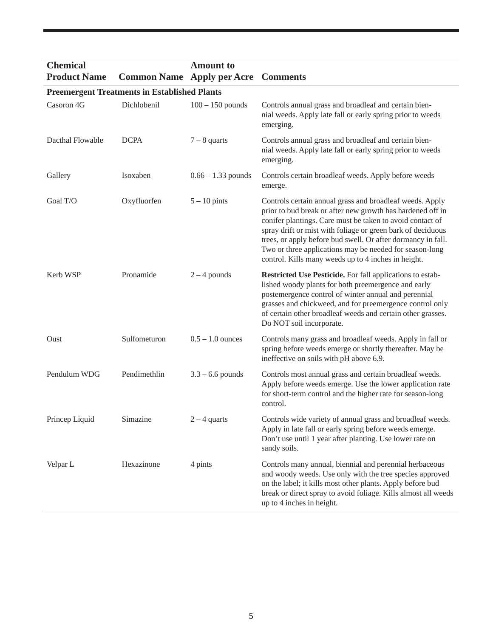| <b>Chemical</b><br><b>Product Name</b>              | <b>Common Name</b> | <b>Amount</b> to<br><b>Apply per Acre</b> | <b>Comments</b>                                                                                                                                                                                                                                                                                                                                                                                                                      |  |  |  |  |  |  |
|-----------------------------------------------------|--------------------|-------------------------------------------|--------------------------------------------------------------------------------------------------------------------------------------------------------------------------------------------------------------------------------------------------------------------------------------------------------------------------------------------------------------------------------------------------------------------------------------|--|--|--|--|--|--|
| <b>Preemergent Treatments in Established Plants</b> |                    |                                           |                                                                                                                                                                                                                                                                                                                                                                                                                                      |  |  |  |  |  |  |
| Casoron 4G                                          | Dichlobenil        | $100 - 150$ pounds                        | Controls annual grass and broadleaf and certain bien-<br>nial weeds. Apply late fall or early spring prior to weeds<br>emerging.                                                                                                                                                                                                                                                                                                     |  |  |  |  |  |  |
| Dacthal Flowable                                    | <b>DCPA</b>        | $7 - 8$ quarts                            | Controls annual grass and broadleaf and certain bien-<br>nial weeds. Apply late fall or early spring prior to weeds<br>emerging.                                                                                                                                                                                                                                                                                                     |  |  |  |  |  |  |
| Gallery                                             | Isoxaben           | $0.66 - 1.33$ pounds                      | Controls certain broadleaf weeds. Apply before weeds<br>emerge.                                                                                                                                                                                                                                                                                                                                                                      |  |  |  |  |  |  |
| Goal T/O                                            | Oxyfluorfen        | $5 - 10$ pints                            | Controls certain annual grass and broadleaf weeds. Apply<br>prior to bud break or after new growth has hardened off in<br>conifer plantings. Care must be taken to avoid contact of<br>spray drift or mist with foliage or green bark of deciduous<br>trees, or apply before bud swell. Or after dormancy in fall.<br>Two or three applications may be needed for season-long<br>control. Kills many weeds up to 4 inches in height. |  |  |  |  |  |  |
| Kerb WSP                                            | Pronamide          | $2 - 4$ pounds                            | Restricted Use Pesticide. For fall applications to estab-<br>lished woody plants for both preemergence and early<br>postemergence control of winter annual and perennial<br>grasses and chickweed, and for preemergence control only<br>of certain other broadleaf weeds and certain other grasses.<br>Do NOT soil incorporate.                                                                                                      |  |  |  |  |  |  |
| Oust                                                | Sulfometuron       | $0.5 - 1.0$ ounces                        | Controls many grass and broadleaf weeds. Apply in fall or<br>spring before weeds emerge or shortly thereafter. May be<br>ineffective on soils with pH above 6.9.                                                                                                                                                                                                                                                                     |  |  |  |  |  |  |
| Pendulum WDG                                        | Pendimethlin       | $3.3 - 6.6$ pounds                        | Controls most annual grass and certain broadleaf weeds.<br>Apply before weeds emerge. Use the lower application rate<br>for short-term control and the higher rate for season-long<br>control.                                                                                                                                                                                                                                       |  |  |  |  |  |  |
| Princep Liquid                                      | Simazine           | $2 - 4$ quarts                            | Controls wide variety of annual grass and broadleaf weeds.<br>Apply in late fall or early spring before weeds emerge.<br>Don't use until 1 year after planting. Use lower rate on<br>sandy soils.                                                                                                                                                                                                                                    |  |  |  |  |  |  |
| Velpar L                                            | Hexazinone         | 4 pints                                   | Controls many annual, biennial and perennial herbaceous<br>and woody weeds. Use only with the tree species approved<br>on the label; it kills most other plants. Apply before bud<br>break or direct spray to avoid foliage. Kills almost all weeds<br>up to 4 inches in height.                                                                                                                                                     |  |  |  |  |  |  |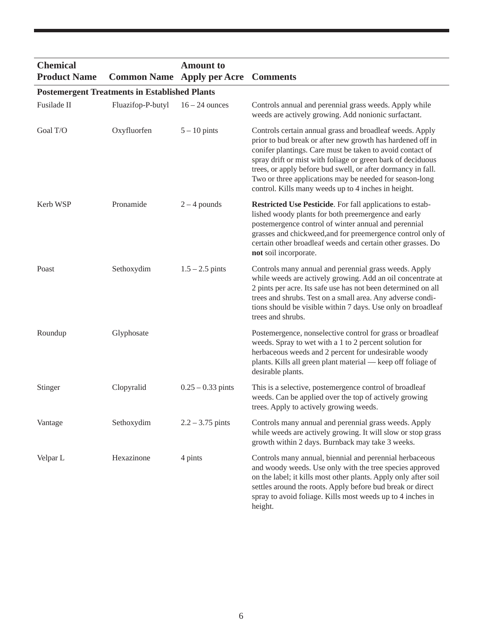| <b>Chemical</b>                                      |                    | <b>Amount</b> to      |                                                                                                                                                                                                                                                                                                                                                                                                                                      |  |  |  |  |  |  |
|------------------------------------------------------|--------------------|-----------------------|--------------------------------------------------------------------------------------------------------------------------------------------------------------------------------------------------------------------------------------------------------------------------------------------------------------------------------------------------------------------------------------------------------------------------------------|--|--|--|--|--|--|
| <b>Product Name</b>                                  | <b>Common Name</b> | <b>Apply per Acre</b> | <b>Comments</b>                                                                                                                                                                                                                                                                                                                                                                                                                      |  |  |  |  |  |  |
| <b>Postemergent Treatments in Established Plants</b> |                    |                       |                                                                                                                                                                                                                                                                                                                                                                                                                                      |  |  |  |  |  |  |
| Fusilade II                                          | Fluazifop-P-butyl  | $16 - 24$ ounces      | Controls annual and perennial grass weeds. Apply while<br>weeds are actively growing. Add nonionic surfactant.                                                                                                                                                                                                                                                                                                                       |  |  |  |  |  |  |
| Goal T/O                                             | Oxyfluorfen        | $5 - 10$ pints        | Controls certain annual grass and broadleaf weeds. Apply<br>prior to bud break or after new growth has hardened off in<br>conifer plantings. Care must be taken to avoid contact of<br>spray drift or mist with foliage or green bark of deciduous<br>trees, or apply before bud swell, or after dormancy in fall.<br>Two or three applications may be needed for season-long<br>control. Kills many weeds up to 4 inches in height. |  |  |  |  |  |  |
| Kerb WSP                                             | Pronamide          | $2 - 4$ pounds        | <b>Restricted Use Pesticide.</b> For fall applications to estab-<br>lished woody plants for both preemergence and early<br>postemergence control of winter annual and perennial<br>grasses and chickweed, and for preemergence control only of<br>certain other broadleaf weeds and certain other grasses. Do<br>not soil incorporate.                                                                                               |  |  |  |  |  |  |
| Poast                                                | Sethoxydim         | $1.5 - 2.5$ pints     | Controls many annual and perennial grass weeds. Apply<br>while weeds are actively growing. Add an oil concentrate at<br>2 pints per acre. Its safe use has not been determined on all<br>trees and shrubs. Test on a small area. Any adverse condi-<br>tions should be visible within 7 days. Use only on broadleaf<br>trees and shrubs.                                                                                             |  |  |  |  |  |  |
| Roundup                                              | Glyphosate         |                       | Postemergence, nonselective control for grass or broadleaf<br>weeds. Spray to wet with a 1 to 2 percent solution for<br>herbaceous weeds and 2 percent for undesirable woody<br>plants. Kills all green plant material - keep off foliage of<br>desirable plants.                                                                                                                                                                    |  |  |  |  |  |  |
| Stinger                                              | Clopyralid         | $0.25 - 0.33$ pints   | This is a selective, postemergence control of broadleaf<br>weeds. Can be applied over the top of actively growing<br>trees. Apply to actively growing weeds.                                                                                                                                                                                                                                                                         |  |  |  |  |  |  |
| Vantage                                              | Sethoxydim         | $2.2 - 3.75$ pints    | Controls many annual and perennial grass weeds. Apply<br>while weeds are actively growing. It will slow or stop grass<br>growth within 2 days. Burnback may take 3 weeks.                                                                                                                                                                                                                                                            |  |  |  |  |  |  |
| Velpar L                                             | Hexazinone         | 4 pints               | Controls many annual, biennial and perennial herbaceous<br>and woody weeds. Use only with the tree species approved<br>on the label; it kills most other plants. Apply only after soil<br>settles around the roots. Apply before bud break or direct<br>spray to avoid foliage. Kills most weeds up to 4 inches in<br>height.                                                                                                        |  |  |  |  |  |  |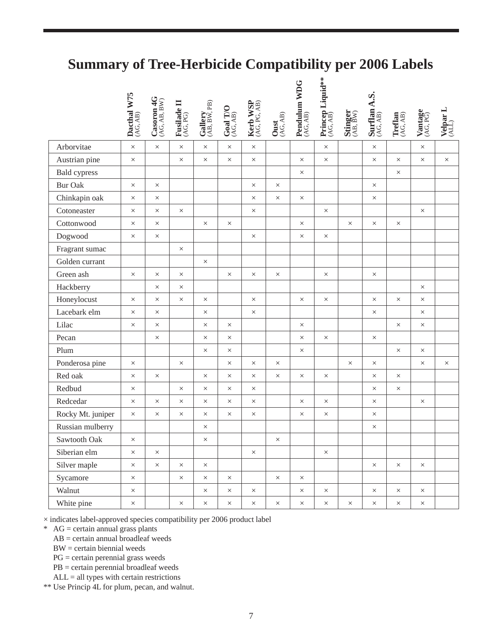# **Summary of Tree-Herbicide Compatibility per 2006 Labels**

|                     | Dacthal W75<br>$(AG, AB)$ | $\begin{array}{c} \textbf{Casoron 4G} \\ \textbf{(AG, AB, BW)} \end{array}$ | ${\bf Fusilade\ II} \atop (AG, PG)$ | $\begin{array}{c} \textbf{Gallery} \\ \textbf{(AB, BW, PB)} \end{array}$ | $\rm_{(AG,AB)}^{Coal$ T/O | $\begin{array}{c} \textbf{Kerb WSP} \\ \textbf{(AG, PG, AB)} \end{array}$ |                                                                     | Pendulum WDG $\left( \begin{smallmatrix} \widehat{A}\widehat{G},AB \end{smallmatrix} \right)$ | Princep Liquid**<br>(AG, AB) | Stinger<br>(AB, BW) | Surflan A.S.<br>$(AG, AB)$ |                                                                      | Vantage<br>(AG, PG) | Velpar L $_{\rm (AL)}$ |
|---------------------|---------------------------|-----------------------------------------------------------------------------|-------------------------------------|--------------------------------------------------------------------------|---------------------------|---------------------------------------------------------------------------|---------------------------------------------------------------------|-----------------------------------------------------------------------------------------------|------------------------------|---------------------|----------------------------|----------------------------------------------------------------------|---------------------|------------------------|
|                     |                           |                                                                             |                                     |                                                                          |                           |                                                                           | $\mathop{{\bf Oust}}\limits_{\left( {\rm AG}, \, {\rm AB} \right)}$ |                                                                                               |                              |                     |                            | $\begin{array}{c} \textbf{Treflan} \\ \textbf{(AG, AB)} \end{array}$ |                     |                        |
| Arborvitae          | $\times$                  | $\times$                                                                    | $\times$                            | $\times$                                                                 | $\times$                  | $\times$                                                                  |                                                                     |                                                                                               | $\times$                     |                     | $\times$                   |                                                                      | $\times$            |                        |
| Austrian pine       | $\times$                  |                                                                             | $\times$                            | $\times$                                                                 | $\times$                  | $\times$                                                                  |                                                                     | $\times$                                                                                      | $\times$                     |                     | $\times$                   | $\times$                                                             | $\times$            | $\times$               |
| <b>Bald</b> cypress |                           |                                                                             |                                     |                                                                          |                           |                                                                           |                                                                     | $\times$                                                                                      |                              |                     |                            | $\times$                                                             |                     |                        |
| <b>Bur Oak</b>      | $\times$                  | $\times$                                                                    |                                     |                                                                          |                           | $\times$                                                                  | $\times$                                                            |                                                                                               |                              |                     | $\times$                   |                                                                      |                     |                        |
| Chinkapin oak       | $\times$                  | $\times$                                                                    |                                     |                                                                          |                           | $\times$                                                                  | $\times$                                                            | $\times$                                                                                      |                              |                     | $\times$                   |                                                                      |                     |                        |
| Cotoneaster         | $\times$                  | $\times$                                                                    | $\times$                            |                                                                          |                           | $\times$                                                                  |                                                                     |                                                                                               | $\times$                     |                     |                            |                                                                      | $\times$            |                        |
| Cottonwood          | $\times$                  | $\times$                                                                    |                                     | $\times$                                                                 | $\times$                  |                                                                           |                                                                     | $\times$                                                                                      |                              | $\times$            | $\times$                   | $\times$                                                             |                     |                        |
| Dogwood             | $\times$                  | $\times$                                                                    |                                     |                                                                          |                           | $\times$                                                                  |                                                                     | $\times$                                                                                      | $\times$                     |                     |                            |                                                                      |                     |                        |
| Fragrant sumac      |                           |                                                                             | $\times$                            |                                                                          |                           |                                                                           |                                                                     |                                                                                               |                              |                     |                            |                                                                      |                     |                        |
| Golden currant      |                           |                                                                             |                                     | $\times$                                                                 |                           |                                                                           |                                                                     |                                                                                               |                              |                     |                            |                                                                      |                     |                        |
| Green ash           | $\times$                  | $\times$                                                                    | $\times$                            |                                                                          | $\times$                  | $\times$                                                                  | $\times$                                                            |                                                                                               | $\times$                     |                     | $\times$                   |                                                                      |                     |                        |
| Hackberry           |                           | $\times$                                                                    | $\times$                            |                                                                          |                           |                                                                           |                                                                     |                                                                                               |                              |                     |                            |                                                                      | $\times$            |                        |
| Honeylocust         | $\times$                  | $\times$                                                                    | $\times$                            | $\times$                                                                 |                           | $\times$                                                                  |                                                                     | $\times$                                                                                      | $\times$                     |                     | $\times$                   | $\times$                                                             | $\times$            |                        |
| Lacebark elm        | $\times$                  | $\times$                                                                    |                                     | $\times$                                                                 |                           | $\times$                                                                  |                                                                     |                                                                                               |                              |                     | $\times$                   |                                                                      | $\times$            |                        |
| Lilac               | $\times$                  | $\times$                                                                    |                                     | $\times$                                                                 | $\times$                  |                                                                           |                                                                     | $\times$                                                                                      |                              |                     |                            | $\times$                                                             | $\times$            |                        |
| Pecan               |                           | $\times$                                                                    |                                     | $\times$                                                                 | $\times$                  |                                                                           |                                                                     | $\times$                                                                                      | $\times$                     |                     | $\times$                   |                                                                      |                     |                        |
| Plum                |                           |                                                                             |                                     | $\times$                                                                 | $\times$                  |                                                                           |                                                                     | $\times$                                                                                      |                              |                     |                            | $\times$                                                             | $\times$            |                        |
| Ponderosa pine      | $\times$                  |                                                                             | $\times$                            |                                                                          | $\times$                  | $\times$                                                                  | $\times$                                                            |                                                                                               |                              | $\times$            | $\times$                   |                                                                      | $\times$            | $\times$               |
| Red oak             | $\times$                  | $\times$                                                                    |                                     | $\times$                                                                 | $\times$                  | $\times$                                                                  | $\times$                                                            | $\times$                                                                                      | $\times$                     |                     | $\times$                   | $\times$                                                             |                     |                        |
| Redbud              | $\times$                  |                                                                             | $\times$                            | $\times$                                                                 | $\times$                  | $\times$                                                                  |                                                                     |                                                                                               |                              |                     | $\times$                   | $\times$                                                             |                     |                        |
| Redcedar            | $\times$                  | $\times$                                                                    | $\times$                            | $\times$                                                                 | $\times$                  | $\times$                                                                  |                                                                     | $\times$                                                                                      | $\times$                     |                     | $\times$                   |                                                                      | $\times$            |                        |
| Rocky Mt. juniper   | $\times$                  | $\times$                                                                    | $\times$                            | $\times$                                                                 | $\times$                  | $\times$                                                                  |                                                                     | $\times$                                                                                      | $\times$                     |                     | $\times$                   |                                                                      |                     |                        |
| Russian mulberry    |                           |                                                                             |                                     | $\times$                                                                 |                           |                                                                           |                                                                     |                                                                                               |                              |                     | $\times$                   |                                                                      |                     |                        |
| Sawtooth Oak        | $\times$                  |                                                                             |                                     | $\times$                                                                 |                           |                                                                           | $\times$                                                            |                                                                                               |                              |                     |                            |                                                                      |                     |                        |
| Siberian elm        | $\times$                  | $\times$                                                                    |                                     |                                                                          |                           | $\times$                                                                  |                                                                     |                                                                                               | $\times$                     |                     |                            |                                                                      |                     |                        |
| Silver maple        | $\times$                  | $\times$                                                                    | $\times$                            | $\times$                                                                 |                           |                                                                           |                                                                     |                                                                                               |                              |                     | $\times$                   | $\times$                                                             | $\times$            |                        |
| Sycamore            | $\times$                  |                                                                             | $\times$                            | $\times$                                                                 | $\times$                  |                                                                           | $\times$                                                            | $\times$                                                                                      |                              |                     |                            |                                                                      |                     |                        |
| Walnut              | $\times$                  |                                                                             |                                     | $\times$                                                                 | $\times$                  | $\times$                                                                  |                                                                     | $\times$                                                                                      | $\times$                     |                     | $\times$                   | $\times$                                                             | $\times$            |                        |
| White pine          | $\times$                  |                                                                             | $\times$                            | $\times$                                                                 | $\times$                  | $\times$                                                                  | $\times$                                                            | $\times$                                                                                      | $\times$                     | $\times$            | $\times$                   | $\times$                                                             | $\times$            |                        |

 $\times$  indicates label-approved species compatibility per 2006 product label

 $*$  AG = certain annual grass plants

AB = certain annual broadleaf weeds

BW = certain biennial weeds

PG = certain perennial grass weeds

PB = certain perennial broadleaf weeds

 $ALL = all types with certain restrictions$ 

\*\* Use Princip 4L for plum, pecan, and walnut.